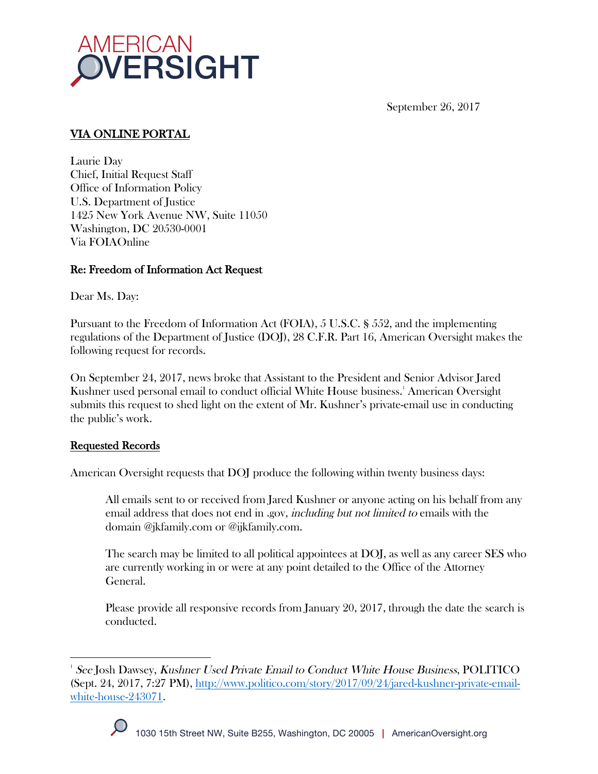

September 26, 2017

# VIA ONLINE PORTAL

Laurie Day Chief, Initial Request Staff Office of Information Policy U.S. Department of Justice 1425 New York Avenue NW, Suite 11050 Washington, DC 20530-0001 Via FOIAOnline

## Re: Freedom of Information Act Request

Dear Ms. Day:

Pursuant to the Freedom of Information Act (FOIA), 5 U.S.C. § 552, and the implementing regulations of the Department of Justice (DOJ), 28 C.F.R. Part 16, American Oversight makes the following request for records.

On September 24, 2017, news broke that Assistant to the President and Senior Advisor Jared Kushner used personal email to conduct official White House business.' American Oversight submits this request to shed light on the extent of Mr. Kushner's private-email use in conducting the public's work.

## Requested Records

American Oversight requests that DOJ produce the following within twenty business days:

All emails sent to or received from Jared Kushner or anyone acting on his behalf from any email address that does not end in .gov, *including but not limited to* emails with the domain @jkfamily.com or @ijkfamily.com.

The search may be limited to all political appointees at DOJ, as well as any career SES who are currently working in or were at any point detailed to the Office of the Attorney General.

Please provide all responsive records from January 20, 2017, through the date the search is conducted.

 $\frac{1}{1}$ See Josh Dawsey, Kushner Used Private Email to Conduct White House Business, POLITICO (Sept. 24, 2017, 7:27 PM), http://www.politico.com/story/2017/09/24/jared-kushner-private-emailwhite-house-243071.

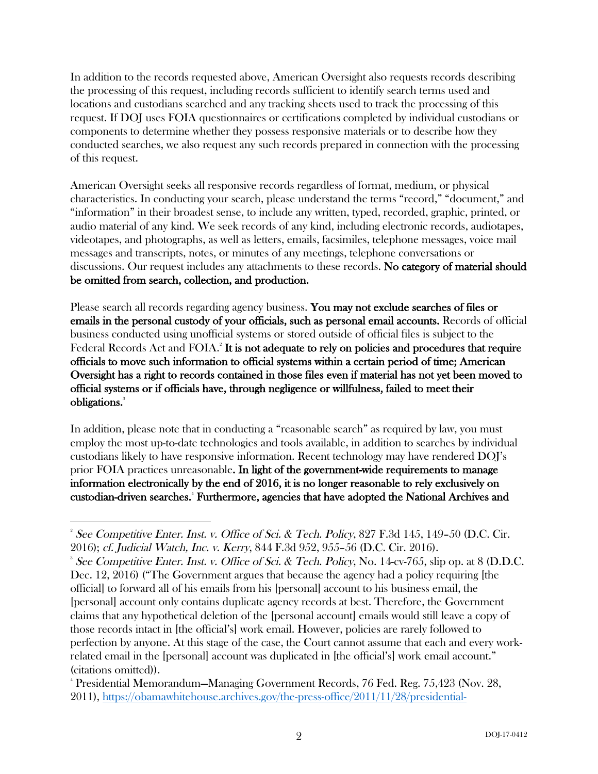In addition to the records requested above, American Oversight also requests records describing the processing of this request, including records sufficient to identify search terms used and locations and custodians searched and any tracking sheets used to track the processing of this request. If DOJ uses FOIA questionnaires or certifications completed by individual custodians or components to determine whether they possess responsive materials or to describe how they conducted searches, we also request any such records prepared in connection with the processing of this request.

American Oversight seeks all responsive records regardless of format, medium, or physical characteristics. In conducting your search, please understand the terms "record," "document," and "information" in their broadest sense, to include any written, typed, recorded, graphic, printed, or audio material of any kind. We seek records of any kind, including electronic records, audiotapes, videotapes, and photographs, as well as letters, emails, facsimiles, telephone messages, voice mail messages and transcripts, notes, or minutes of any meetings, telephone conversations or discussions. Our request includes any attachments to these records. No category of material should be omitted from search, collection, and production.

Please search all records regarding agency business. You may not exclude searches of files or emails in the personal custody of your officials, such as personal email accounts. Records of official business conducted using unofficial systems or stored outside of official files is subject to the Federal Records Act and FOIA.<sup>2</sup> It is not adequate to rely on policies and procedures that require officials to move such information to official systems within a certain period of time; American Oversight has a right to records contained in those files even if material has not yet been moved to official systems or if officials have, through negligence or willfulness, failed to meet their obligations.<sup>3</sup>

In addition, please note that in conducting a "reasonable search" as required by law, you must employ the most up-to-date technologies and tools available, in addition to searches by individual custodians likely to have responsive information. Recent technology may have rendered DOJ's prior FOIA practices unreasonable. In light of the government-wide requirements to manage information electronically by the end of 2016, it is no longer reasonable to rely exclusively on custodian-driven searches.<sup>4</sup> Furthermore, agencies that have adopted the National Archives and

 $\frac{1}{2}$ <sup>2</sup> See Competitive Enter. Inst. v. Office of Sci. & Tech. Policy, 827 F.3d 145, 149-50 (D.C. Cir. 2016); cf. Judicial Watch, Inc. v. Kerry, 844 F.3d 952, 955–56 (D.C. Cir. 2016). 3

<sup>&</sup>lt;sup>3</sup> See Competitive Enter. Inst. v. Office of Sci. & Tech. Policy, No. 14-cv-765, slip op. at 8 (D.D.C. Dec. 12, 2016) ("The Government argues that because the agency had a policy requiring [the official] to forward all of his emails from his [personal] account to his business email, the [personal] account only contains duplicate agency records at best. Therefore, the Government claims that any hypothetical deletion of the [personal account] emails would still leave a copy of those records intact in [the official's] work email. However, policies are rarely followed to perfection by anyone. At this stage of the case, the Court cannot assume that each and every workrelated email in the [personal] account was duplicated in [the official's] work email account." (citations omitted)).

<sup>4</sup> Presidential Memorandum—Managing Government Records, 76 Fed. Reg. 75,423 (Nov. 28, 2011), https://obamawhitehouse.archives.gov/the-press-office/2011/11/28/presidential-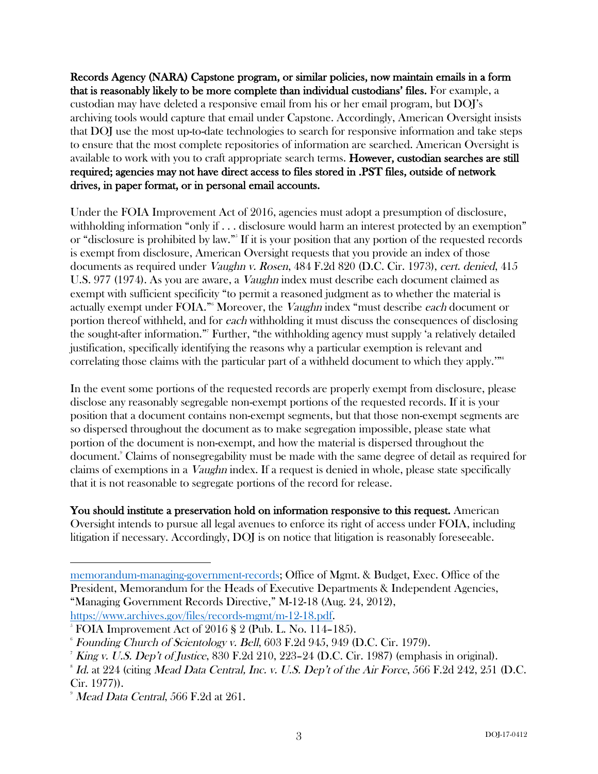Records Agency (NARA) Capstone program, or similar policies, now maintain emails in a form that is reasonably likely to be more complete than individual custodians' files. For example, a custodian may have deleted a responsive email from his or her email program, but DOJ's archiving tools would capture that email under Capstone. Accordingly, American Oversight insists that DOJ use the most up-to-date technologies to search for responsive information and take steps to ensure that the most complete repositories of information are searched. American Oversight is available to work with you to craft appropriate search terms. However, custodian searches are still required; agencies may not have direct access to files stored in .PST files, outside of network drives, in paper format, or in personal email accounts.

Under the FOIA Improvement Act of 2016, agencies must adopt a presumption of disclosure, withholding information "only if . . . disclosure would harm an interest protected by an exemption" or "disclosure is prohibited by law."<sup>55</sup> If it is your position that any portion of the requested records is exempt from disclosure, American Oversight requests that you provide an index of those documents as required under Vaughn v. Rosen, 484 F.2d 820 (D.C. Cir. 1973), cert. denied, 415 U.S. 977 (1974). As you are aware, a *Vaughn* index must describe each document claimed as exempt with sufficient specificity "to permit a reasoned judgment as to whether the material is actually exempt under FOIA."<sup>6</sup> Moreover, the *Vaughn* index "must describe *each* document or portion thereof withheld, and for each withholding it must discuss the consequences of disclosing the sought-after information."7 Further, "the withholding agency must supply 'a relatively detailed justification, specifically identifying the reasons why a particular exemption is relevant and correlating those claims with the particular part of a withheld document to which they apply.'"8

In the event some portions of the requested records are properly exempt from disclosure, please disclose any reasonably segregable non-exempt portions of the requested records. If it is your position that a document contains non-exempt segments, but that those non-exempt segments are so dispersed throughout the document as to make segregation impossible, please state what portion of the document is non-exempt, and how the material is dispersed throughout the document.9 Claims of nonsegregability must be made with the same degree of detail as required for claims of exemptions in a Vaughn index. If a request is denied in whole, please state specifically that it is not reasonable to segregate portions of the record for release.

You should institute a preservation hold on information responsive to this request. American Oversight intends to pursue all legal avenues to enforce its right of access under FOIA, including litigation if necessary. Accordingly, DOJ is on notice that litigation is reasonably foreseeable.

 $\overline{a}$ 

memorandum-managing-government-records; Office of Mgmt. & Budget, Exec. Office of the President, Memorandum for the Heads of Executive Departments & Independent Agencies, "Managing Government Records Directive," M-12-18 (Aug. 24, 2012), https://www.archives.gov/files/records-mgmt/m-12-18.pdf.

 $5$  FOIA Improvement Act of 2016 § 2 (Pub. L. No. 114–185).

 $^{\circ}$  Founding Church of Scientology v. Bell, 603 F.2d 945, 949 (D.C. Cir. 1979).

 $^7$  King v. U.S. Dep't of Justice, 830 F.2d 210, 223–24 (D.C. Cir. 1987) (emphasis in original).

 $^{\circ}$  Id. at  $224$  (citing Mead Data Central, Inc. v. U.S. Dep't of the Air Force, 566 F.2d 242, 251 (D.C. Cir. 1977)).

 $^{\circ}$  *Mead Data Central, 566 F.2d at 261.*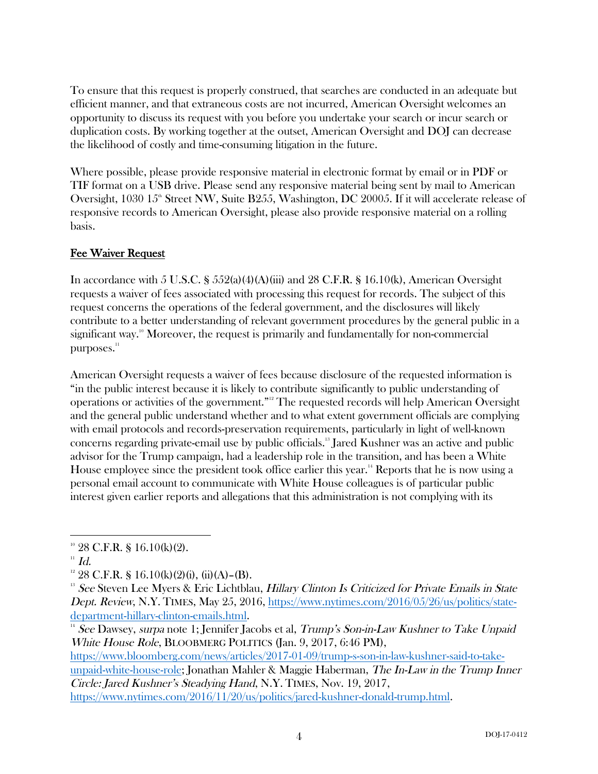To ensure that this request is properly construed, that searches are conducted in an adequate but efficient manner, and that extraneous costs are not incurred, American Oversight welcomes an opportunity to discuss its request with you before you undertake your search or incur search or duplication costs. By working together at the outset, American Oversight and DOJ can decrease the likelihood of costly and time-consuming litigation in the future.

Where possible, please provide responsive material in electronic format by email or in PDF or TIF format on a USB drive. Please send any responsive material being sent by mail to American Oversight, 1030  $15^{\circ}$  Street NW, Suite B255, Washington, DC 20005. If it will accelerate release of responsive records to American Oversight, please also provide responsive material on a rolling basis.

## Fee Waiver Request

In accordance with 5 U.S.C. §  $552(a)(4)(A)(iii)$  and 28 C.F.R. § 16.10(k), American Oversight requests a waiver of fees associated with processing this request for records. The subject of this request concerns the operations of the federal government, and the disclosures will likely contribute to a better understanding of relevant government procedures by the general public in a significant way.<sup>10</sup> Moreover, the request is primarily and fundamentally for non-commercial purposes.<sup>11</sup>

American Oversight requests a waiver of fees because disclosure of the requested information is "in the public interest because it is likely to contribute significantly to public understanding of operations or activities of the government." <sup>12</sup> The requested records will help American Oversight and the general public understand whether and to what extent government officials are complying with email protocols and records-preservation requirements, particularly in light of well-known concerns regarding private-email use by public officials. <sup>13</sup> Jared Kushner was an active and public advisor for the Trump campaign, had a leadership role in the transition, and has been a White House employee since the president took office earlier this year.<sup>14</sup> Reports that he is now using a personal email account to communicate with White House colleagues is of particular public interest given earlier reports and allegations that this administration is not complying with its

White House Role, BLOOBMERG POLITICS (Jan. 9, 2017, 6:46 PM), https://www.bloomberg.com/news/articles/2017-01-09/trump-s-son-in-law-kushner-said-to-takeunpaid-white-house-role; Jonathan Mahler & Maggie Haberman, The In-Law in the Trump Inner Circle: Jared Kushner's Steadying Hand, N.Y. TIMES, Nov. 19, 2017, https://www.nytimes.com/2016/11/20/us/politics/jared-kushner-donald-trump.html.

 $10^{10}$  28 C.F.R. § 16.10(k)(2).

 $11$  Id.

 $12$  28 C.F.R. § 16.10(k)(2)(i), (ii)(A)–(B).

<sup>&</sup>lt;sup>13</sup> See Steven Lee Myers & Eric Lichtblau, Hillary Clinton Is Criticized for Private Emails in State Dept. Review, N.Y. TIMES, May 25, 2016, https://www.nytimes.com/2016/05/26/us/politics/statedepartment-hillary-clinton-emails.html.<br><sup>14</sup> See Dawsey, *surpa* note 1; Jennifer Jacobs et al, *Trump's Son-in-Law Kushner to Take Unpaid*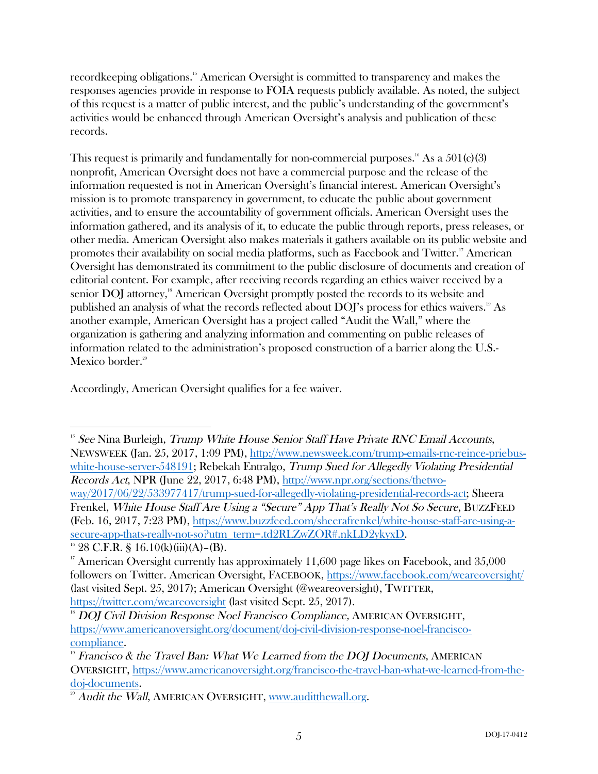recordkeeping obligations.<sup>15</sup> American Oversight is committed to transparency and makes the responses agencies provide in response to FOIA requests publicly available. As noted, the subject of this request is a matter of public interest, and the public's understanding of the government's activities would be enhanced through American Oversight's analysis and publication of these records.

This request is primarily and fundamentally for non-commercial purposes.<sup>16</sup> As a  $501(c)(3)$ nonprofit, American Oversight does not have a commercial purpose and the release of the information requested is not in American Oversight's financial interest. American Oversight's mission is to promote transparency in government, to educate the public about government activities, and to ensure the accountability of government officials. American Oversight uses the information gathered, and its analysis of it, to educate the public through reports, press releases, or other media. American Oversight also makes materials it gathers available on its public website and promotes their availability on social media platforms, such as Facebook and Twitter.<sup>17</sup> American Oversight has demonstrated its commitment to the public disclosure of documents and creation of editorial content. For example, after receiving records regarding an ethics waiver received by a senior DOJ attorney,<sup>18</sup> American Oversight promptly posted the records to its website and published an analysis of what the records reflected about DOJ's process for ethics waivers.<sup>19</sup> As another example, American Oversight has a project called "Audit the Wall," where the organization is gathering and analyzing information and commenting on public releases of information related to the administration's proposed construction of a barrier along the U.S.- Mexico border.<sup>20</sup>

Accordingly, American Oversight qualifies for a fee waiver.

 $15$  See Nina Burleigh, Trump White House Senior Staff Have Private RNC Email Accounts, NEWSWEEK (Jan. 25, 2017, 1:09 PM), http://www.newsweek.com/trump-emails-rnc-reince-priebuswhite-house-server-548191; Rebekah Entralgo, Trump Sued for Allegedly Violating Presidential Records Act, NPR (June 22, 2017, 6:48 PM), http://www.npr.org/sections/thetwoway/2017/06/22/533977417/trump-sued-for-allegedly-violating-presidential-records-act; Sheera Frenkel, White House Staff Are Using a "Secure" App That's Really Not So Secure, BUZZFEED (Feb. 16, 2017, 7:23 PM), https://www.buzzfeed.com/sheerafrenkel/white-house-staff-are-using-asecure-app-thats-really-not-so?utm\_term=.td2RLZwZOR#.nkLD2ykyxD.<br><sup>16</sup> 28 C.F.R. § 16.10(k)(iii)(A)–(B).

<sup>&</sup>lt;sup>17</sup> American Oversight currently has approximately 11,600 page likes on Facebook, and  $35,000$ followers on Twitter. American Oversight, FACEBOOK, https://www.facebook.com/weareoversight/ (last visited Sept. 25, 2017); American Oversight (@weareoversight), TWITTER, https://twitter.com/weareoversight (last visited Sept. 25, 2017).

<sup>&</sup>lt;sup>18</sup> DOJ Civil Division Response Noel Francisco Compliance, AMERICAN OVERSIGHT, https://www.americanoversight.org/document/doj-civil-division-response-noel-francisco- $\frac{\text{compliance.}}{\text{P}}$  Francisco & the Travel Ban: What We Learned from the DOJ Documents, AMERICAN

OVERSIGHT, https://www.americanoversight.org/francisco-the-travel-ban-what-we-learned-from-thedoj-documents.<br><sup>20</sup> Audit the Wall, AMERICAN OVERSIGHT, www.auditthewall.org.